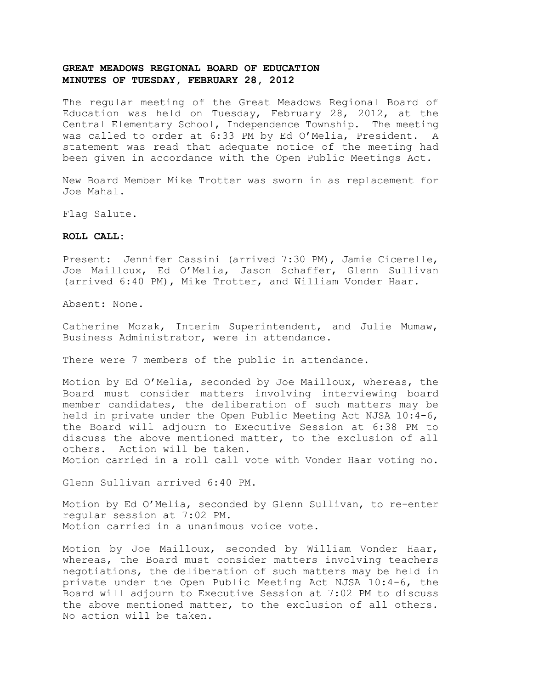The regular meeting of the Great Meadows Regional Board of Education was held on Tuesday, February 28, 2012, at the Central Elementary School, Independence Township. The meeting was called to order at 6:33 PM by Ed O'Melia, President. A statement was read that adequate notice of the meeting had been given in accordance with the Open Public Meetings Act.

New Board Member Mike Trotter was sworn in as replacement for Joe Mahal.

Flag Salute.

#### **ROLL CALL:**

Present: Jennifer Cassini (arrived 7:30 PM), Jamie Cicerelle, Joe Mailloux, Ed O'Melia, Jason Schaffer, Glenn Sullivan (arrived 6:40 PM), Mike Trotter, and William Vonder Haar.

Absent: None.

Catherine Mozak, Interim Superintendent, and Julie Mumaw, Business Administrator, were in attendance.

There were 7 members of the public in attendance.

Motion by Ed O'Melia, seconded by Joe Mailloux, whereas, the Board must consider matters involving interviewing board member candidates, the deliberation of such matters may be held in private under the Open Public Meeting Act NJSA 10:4-6, the Board will adjourn to Executive Session at 6:38 PM to discuss the above mentioned matter, to the exclusion of all others. Action will be taken.

Motion carried in a roll call vote with Vonder Haar voting no.

Glenn Sullivan arrived 6:40 PM.

Motion by Ed O'Melia, seconded by Glenn Sullivan, to re-enter regular session at 7:02 PM. Motion carried in a unanimous voice vote.

Motion by Joe Mailloux, seconded by William Vonder Haar, whereas, the Board must consider matters involving teachers negotiations, the deliberation of such matters may be held in private under the Open Public Meeting Act NJSA 10:4-6, the Board will adjourn to Executive Session at 7:02 PM to discuss the above mentioned matter, to the exclusion of all others. No action will be taken.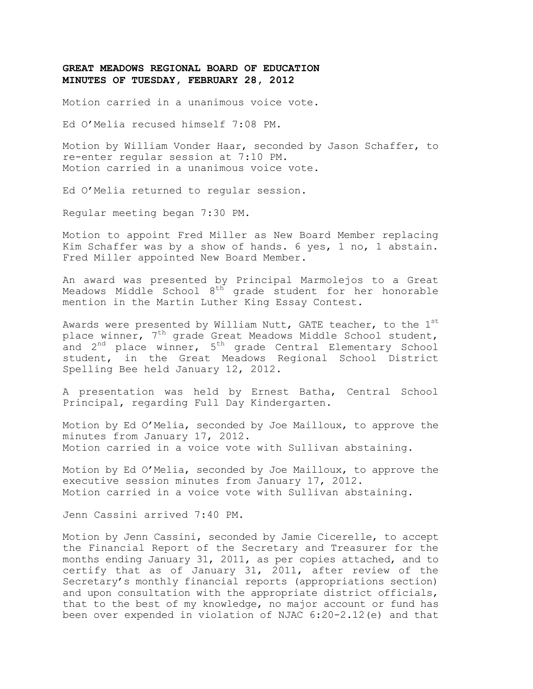Motion carried in a unanimous voice vote.

Ed O'Melia recused himself 7:08 PM.

Motion by William Vonder Haar, seconded by Jason Schaffer, to re-enter regular session at 7:10 PM. Motion carried in a unanimous voice vote.

Ed O'Melia returned to regular session.

Regular meeting began 7:30 PM.

Motion to appoint Fred Miller as New Board Member replacing Kim Schaffer was by a show of hands. 6 yes, 1 no, 1 abstain. Fred Miller appointed New Board Member.

An award was presented by Principal Marmolejos to a Great Meadows Middle School 8<sup>th</sup> grade student for her honorable mention in the Martin Luther King Essay Contest.

Awards were presented by William Nutt, GATE teacher, to the  $1<sup>st</sup>$ place winner, 7<sup>th</sup> grade Great Meadows Middle School student, and 2<sup>nd</sup> place winner, 5<sup>th</sup> grade Central Elementary School student, in the Great Meadows Regional School District Spelling Bee held January 12, 2012.

A presentation was held by Ernest Batha, Central School Principal, regarding Full Day Kindergarten.

Motion by Ed O'Melia, seconded by Joe Mailloux, to approve the minutes from January 17, 2012. Motion carried in a voice vote with Sullivan abstaining.

Motion by Ed O'Melia, seconded by Joe Mailloux, to approve the executive session minutes from January 17, 2012. Motion carried in a voice vote with Sullivan abstaining.

Jenn Cassini arrived 7:40 PM.

Motion by Jenn Cassini, seconded by Jamie Cicerelle, to accept the Financial Report of the Secretary and Treasurer for the months ending January 31, 2011, as per copies attached, and to certify that as of January 31, 2011, after review of the Secretary's monthly financial reports (appropriations section) and upon consultation with the appropriate district officials, that to the best of my knowledge, no major account or fund has been over expended in violation of NJAC 6:20-2.12(e) and that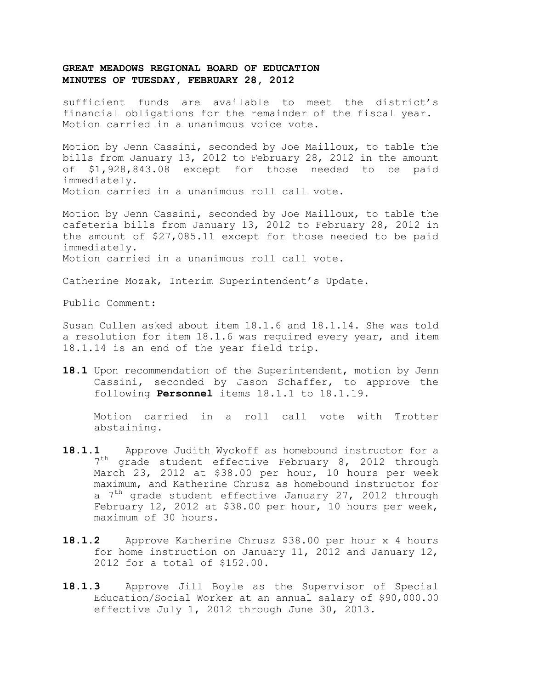sufficient funds are available to meet the district's financial obligations for the remainder of the fiscal year. Motion carried in a unanimous voice vote.

Motion by Jenn Cassini, seconded by Joe Mailloux, to table the bills from January 13, 2012 to February 28, 2012 in the amount of \$1,928,843.08 except for those needed to be paid immediately. Motion carried in a unanimous roll call vote.

Motion by Jenn Cassini, seconded by Joe Mailloux, to table the cafeteria bills from January 13, 2012 to February 28, 2012 in the amount of \$27,085.11 except for those needed to be paid immediately. Motion carried in a unanimous roll call vote.

Catherine Mozak, Interim Superintendent's Update.

Public Comment:

Susan Cullen asked about item 18.1.6 and 18.1.14. She was told a resolution for item 18.1.6 was required every year, and item 18.1.14 is an end of the year field trip.

**18.1** Upon recommendation of the Superintendent, motion by Jenn Cassini, seconded by Jason Schaffer, to approve the following **Personnel** items 18.1.1 to 18.1.19.

Motion carried in a roll call vote with Trotter abstaining.

- 18.1.1 Approve Judith Wyckoff as homebound instructor for a 7<sup>th</sup> grade student effective February 8, 2012 through March 23, 2012 at \$38.00 per hour, 10 hours per week maximum, and Katherine Chrusz as homebound instructor for a  $7<sup>th</sup>$  grade student effective January 27, 2012 through February 12, 2012 at \$38.00 per hour, 10 hours per week, maximum of 30 hours.
- **18.1.2** Approve Katherine Chrusz \$38.00 per hour x 4 hours for home instruction on January 11, 2012 and January 12, 2012 for a total of \$152.00.
- **18.1.3** Approve Jill Boyle as the Supervisor of Special Education/Social Worker at an annual salary of \$90,000.00 effective July 1, 2012 through June 30, 2013.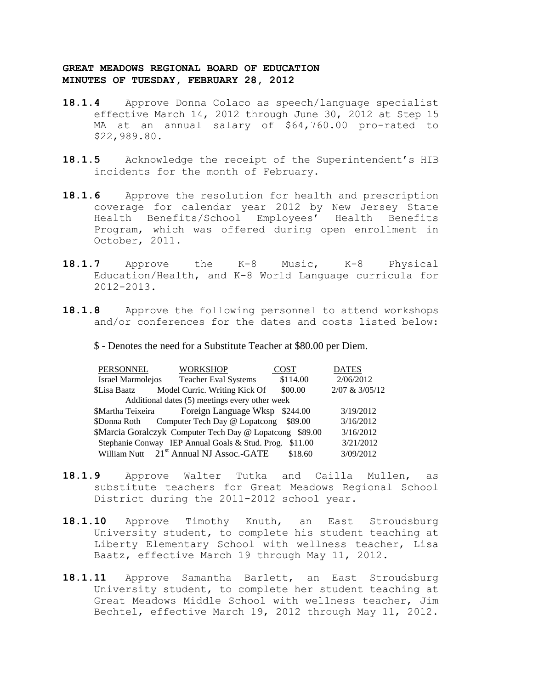- **18.1.4** Approve Donna Colaco as speech/language specialist effective March 14, 2012 through June 30, 2012 at Step 15 MA at an annual salary of \$64,760.00 pro-rated to \$22,989.80.
- **18.1.5** Acknowledge the receipt of the Superintendent's HIB incidents for the month of February**.**
- **18.1.6** Approve the resolution for health and prescription coverage for calendar year 2012 by New Jersey State Health Benefits/School Employees' Health Benefits Program, which was offered during open enrollment in October, 2011.
- **18.1.7** Approve the K-8 Music, K-8 Physical Education/Health, and K-8 World Language curricula for 2012-2013.
- **18.1.8** Approve the following personnel to attend workshops and/or conferences for the dates and costs listed below:
	- \$ Denotes the need for a Substitute Teacher at \$80.00 per Diem.

| PERSONNEL                                      | <b>WORKSHOP</b>                                          | <b>COST</b> | <b>DATES</b>   |  |
|------------------------------------------------|----------------------------------------------------------|-------------|----------------|--|
| <b>Israel Marmolejos</b>                       | <b>Teacher Eval Systems</b>                              | \$114.00    | 2/06/2012      |  |
| \$Lisa Baatz                                   | Model Curric. Writing Kick Of                            | \$00.00     | 2/07 & 3/05/12 |  |
| Additional dates (5) meetings every other week |                                                          |             |                |  |
|                                                | \$Martha Teixeira Foreign Language Wksp \$244.00         |             | 3/19/2012      |  |
|                                                | \$Donna Roth Computer Tech Day @ Lopatcong \$89.00       |             | 3/16/2012      |  |
|                                                | \$Marcia Goralczyk Computer Tech Day @ Lopatcong \$89.00 |             | 3/16/2012      |  |
|                                                | Stephanie Conway IEP Annual Goals & Stud. Prog. \$11.00  |             | 3/21/2012      |  |
|                                                | William Nutt 21 <sup>st</sup> Annual NJ Assoc.-GATE      | \$18.60     | 3/09/2012      |  |

- **18.1.9** Approve Walter Tutka and Cailla Mullen, as substitute teachers for Great Meadows Regional School District during the 2011-2012 school year.
- **18.1.10** Approve Timothy Knuth, an East Stroudsburg University student, to complete his student teaching at Liberty Elementary School with wellness teacher, Lisa Baatz, effective March 19 through May 11, 2012.
- **18.1.11** Approve Samantha Barlett, an East Stroudsburg University student, to complete her student teaching at Great Meadows Middle School with wellness teacher, Jim Bechtel, effective March 19, 2012 through May 11, 2012.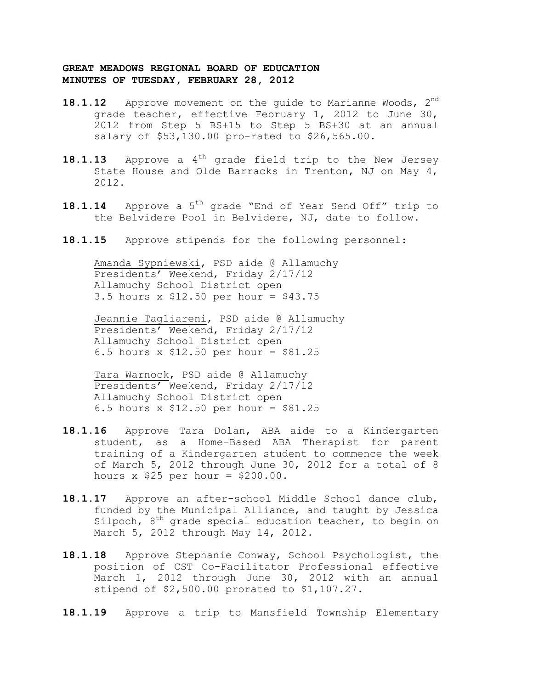- **18.1.12** Approve movement on the quide to Marianne Woods, 2<sup>nd</sup> grade teacher, effective February 1, 2012 to June 30, 2012 from Step 5 BS+15 to Step 5 BS+30 at an annual salary of \$53,130.00 pro-rated to \$26,565.00.
- **18.1.13** Approve a 4<sup>th</sup> grade field trip to the New Jersey State House and Olde Barracks in Trenton, NJ on May 4, 2012.
- 18.1.14 Approve a 5<sup>th</sup> grade "End of Year Send Off" trip to the Belvidere Pool in Belvidere, NJ, date to follow.
- **18.1.15** Approve stipends for the following personnel:

Amanda Sypniewski, PSD aide @ Allamuchy Presidents' Weekend, Friday 2/17/12 Allamuchy School District open 3.5 hours x \$12.50 per hour = \$43.75

Jeannie Tagliareni, PSD aide @ Allamuchy Presidents' Weekend, Friday 2/17/12 Allamuchy School District open 6.5 hours x \$12.50 per hour = \$81.25

Tara Warnock, PSD aide @ Allamuchy Presidents' Weekend, Friday 2/17/12 Allamuchy School District open 6.5 hours x \$12.50 per hour = \$81.25

- **18.1.16** Approve Tara Dolan, ABA aide to a Kindergarten student, as a Home-Based ABA Therapist for parent training of a Kindergarten student to commence the week of March 5, 2012 through June 30, 2012 for a total of 8 hours  $x$  \$25 per hour = \$200.00.
- **18.1.17** Approve an after-school Middle School dance club, funded by the Municipal Alliance, and taught by Jessica  $Silpoch,$   $8<sup>th</sup>$  grade special education teacher, to begin on March 5, 2012 through May 14, 2012.
- **18.1.18** Approve Stephanie Conway, School Psychologist, the position of CST Co-Facilitator Professional effective March 1, 2012 through June 30, 2012 with an annual stipend of \$2,500.00 prorated to \$1,107.27.
- **18.1.19** Approve a trip to Mansfield Township Elementary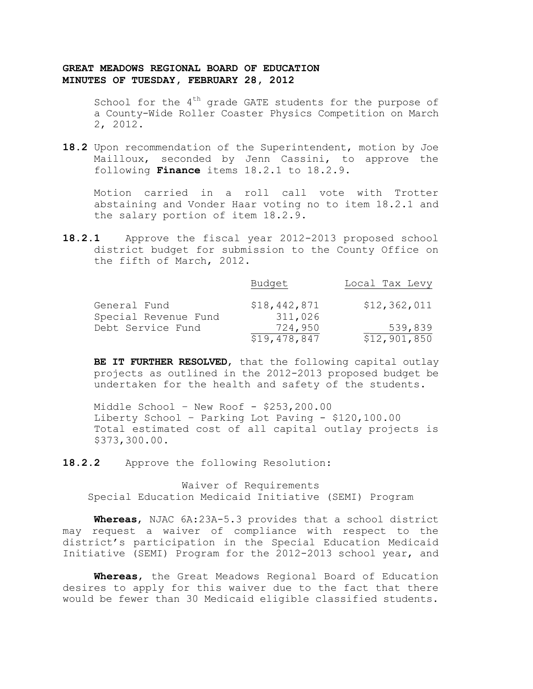School for the  $4<sup>th</sup>$  grade GATE students for the purpose of a County-Wide Roller Coaster Physics Competition on March 2, 2012.

**18.2** Upon recommendation of the Superintendent, motion by Joe Mailloux, seconded by Jenn Cassini, to approve the following **Finance** items 18.2.1 to 18.2.9.

Motion carried in a roll call vote with Trotter abstaining and Vonder Haar voting no to item 18.2.1 and the salary portion of item 18.2.9.

**18.2.1** Approve the fiscal year 2012-2013 proposed school district budget for submission to the County Office on the fifth of March, 2012.

|                      | Budget                  | Local Tax Levy          |
|----------------------|-------------------------|-------------------------|
| General Fund         | \$18,442,871            | \$12,362,011            |
| Special Revenue Fund | 311,026                 |                         |
| Debt Service Fund    | 724,950<br>\$19,478,847 | 539,839<br>\$12,901,850 |
|                      |                         |                         |

**BE IT FURTHER RESOLVED**, that the following capital outlay projects as outlined in the 2012-2013 proposed budget be undertaken for the health and safety of the students.

Middle School – New Roof - \$253,200.00 Liberty School – Parking Lot Paving - \$120,100.00 Total estimated cost of all capital outlay projects is \$373,300.00.

**18.2.2** Approve the following Resolution:

Waiver of Requirements Special Education Medicaid Initiative (SEMI) Program

**Whereas**, NJAC 6A:23A-5.3 provides that a school district may request a waiver of compliance with respect to the district's participation in the Special Education Medicaid Initiative (SEMI) Program for the 2012-2013 school year, and

**Whereas**, the Great Meadows Regional Board of Education desires to apply for this waiver due to the fact that there would be fewer than 30 Medicaid eligible classified students.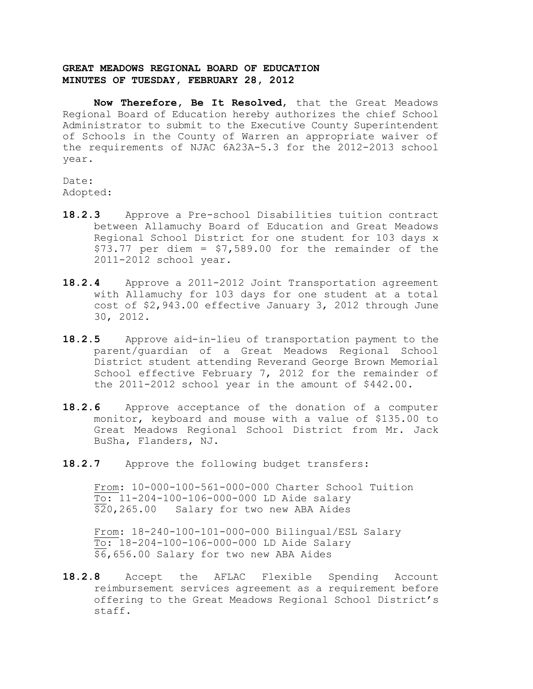**Now Therefore, Be It Resolved**, that the Great Meadows Regional Board of Education hereby authorizes the chief School Administrator to submit to the Executive County Superintendent of Schools in the County of Warren an appropriate waiver of the requirements of NJAC 6A23A-5.3 for the 2012-2013 school year.

Date: Adopted:

- **18.2.3** Approve a Pre-school Disabilities tuition contract between Allamuchy Board of Education and Great Meadows Regional School District for one student for 103 days x  $$73.77$  per diem =  $$7,589.00$  for the remainder of the 2011-2012 school year.
- **18.2.4** Approve a 2011-2012 Joint Transportation agreement with Allamuchy for 103 days for one student at a total cost of \$2,943.00 effective January 3, 2012 through June 30, 2012.
- **18.2.5** Approve aid-in-lieu of transportation payment to the parent/guardian of a Great Meadows Regional School District student attending Reverand George Brown Memorial School effective February 7, 2012 for the remainder of the 2011-2012 school year in the amount of \$442.00.
- **18.2.6** Approve acceptance of the donation of a computer monitor, keyboard and mouse with a value of \$135.00 to Great Meadows Regional School District from Mr. Jack BuSha, Flanders, NJ.
- 18.2.7 Approve the following budget transfers:

From: 10-000-100-561-000-000 Charter School Tuition  $\overline{{\text{To:}}}$  11-204-100-106-000-000 LD Aide salary \$20,265.00 Salary for two new ABA Aides

From: 18-240-100-101-000-000 Bilingual/ESL Salary To: 18-204-100-106-000-000 LD Aide Salary \$6,656.00 Salary for two new ABA Aides

**18.2.8** Accept the AFLAC Flexible Spending Account reimbursement services agreement as a requirement before offering to the Great Meadows Regional School District's staff.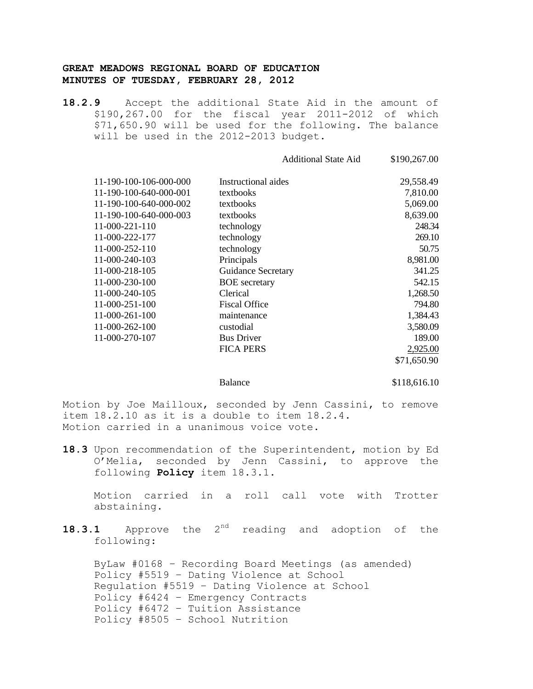**18.2.9** Accept the additional State Aid in the amount of \$190,267.00 for the fiscal year 2011-2012 of which \$71,650.90 will be used for the following. The balance will be used in the 2012-2013 budget.

|                        | <b>Additional State Aid</b> | \$190,267.00 |
|------------------------|-----------------------------|--------------|
| 11-190-100-106-000-000 | Instructional aides         | 29,558.49    |
| 11-190-100-640-000-001 | textbooks                   | 7,810.00     |
| 11-190-100-640-000-002 | textbooks                   | 5,069.00     |
| 11-190-100-640-000-003 | textbooks                   | 8,639.00     |
| 11-000-221-110         | technology                  | 248.34       |
| 11-000-222-177         | technology                  | 269.10       |
| 11-000-252-110         | technology                  | 50.75        |
| 11-000-240-103         | Principals                  | 8,981.00     |
| 11-000-218-105         | <b>Guidance Secretary</b>   | 341.25       |
| 11-000-230-100         | <b>BOE</b> secretary        | 542.15       |
| 11-000-240-105         | Clerical                    | 1,268.50     |
| 11-000-251-100         | <b>Fiscal Office</b>        | 794.80       |
| 11-000-261-100         | maintenance                 | 1,384.43     |
| 11-000-262-100         | custodial                   | 3,580.09     |
| 11-000-270-107         | <b>Bus Driver</b>           | 189.00       |
|                        | <b>FICA PERS</b>            | 2,925.00     |
|                        |                             | \$71.650.90  |
|                        |                             |              |

Balance \$118,616.10

Motion by Joe Mailloux, seconded by Jenn Cassini, to remove item 18.2.10 as it is a double to item 18.2.4. Motion carried in a unanimous voice vote.

**18.3** Upon recommendation of the Superintendent, motion by Ed O'Melia, seconded by Jenn Cassini, to approve the following **Policy** item 18.3.1.

Motion carried in a roll call vote with Trotter abstaining.

18.3.1 Approve the 2<sup>nd</sup> reading and adoption of the following:

ByLaw #0168 – Recording Board Meetings (as amended) Policy #5519 – Dating Violence at School Regulation #5519 – Dating Violence at School Policy #6424 – Emergency Contracts Policy #6472 – Tuition Assistance Policy #8505 – School Nutrition